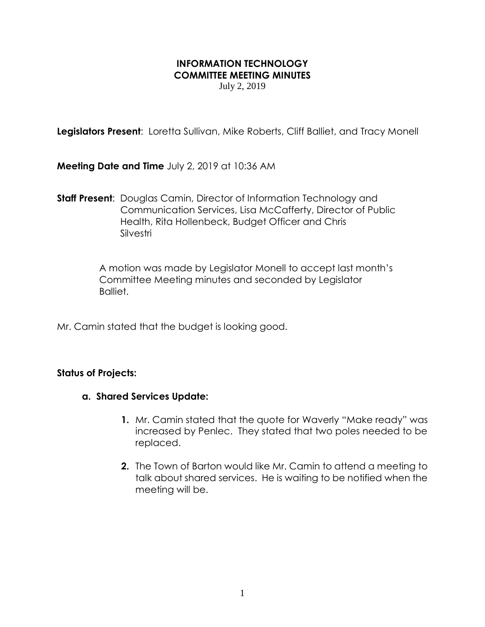# **INFORMATION TECHNOLOGY COMMITTEE MEETING MINUTES**

July 2, 2019

**Legislators Present:** Loretta Sullivan, Mike Roberts, Cliff Balliet, and Tracy Monell

**Meeting Date and Time** July 2, 2019 at 10:36 AM

**Staff Present**: Douglas Camin, Director of Information Technology and Communication Services, Lisa McCafferty, Director of Public Health, Rita Hollenbeck, Budget Officer and Chris Silvestri

> A motion was made by Legislator Monell to accept last month's Committee Meeting minutes and seconded by Legislator Balliet.

Mr. Camin stated that the budget is looking good.

## **Status of Projects:**

#### **a. Shared Services Update:**

- **1.** Mr. Camin stated that the quote for Waverly "Make ready" was increased by Penlec. They stated that two poles needed to be replaced.
- **2.** The Town of Barton would like Mr. Camin to attend a meeting to talk about shared services. He is waiting to be notified when the meeting will be.